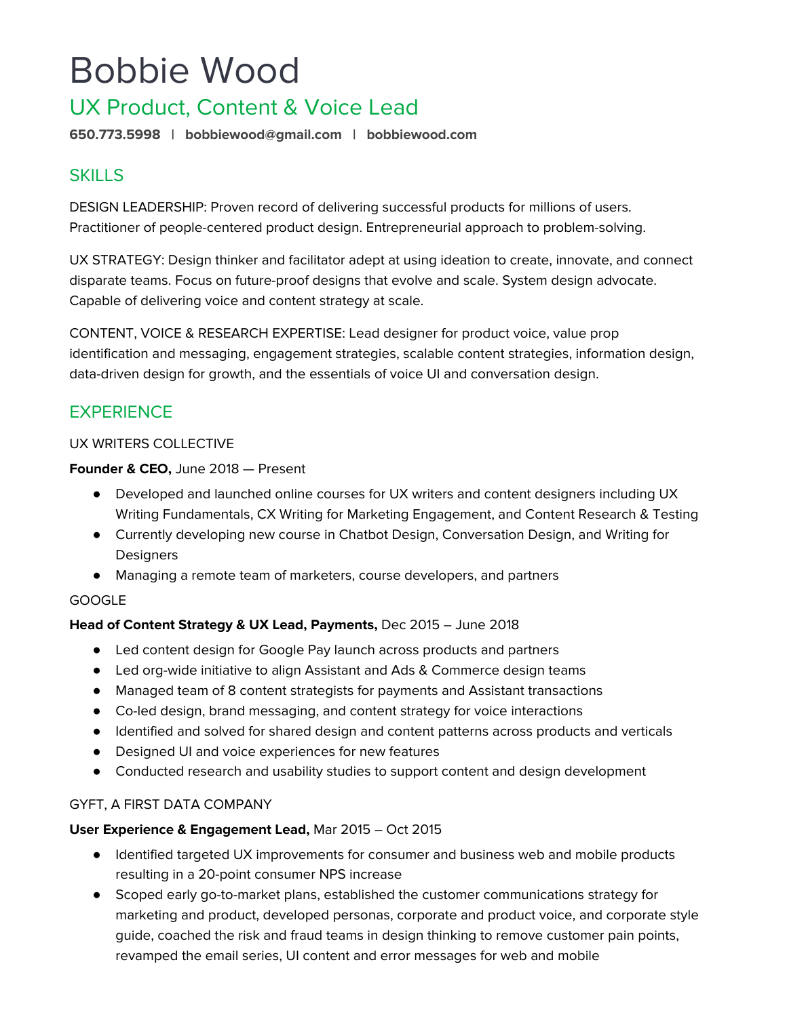# Bobbie Wood

## UX Product, Content & Voice Lead

**650.773.5998 | bobbiewood@gmail.com | bobbiewood.com**

## **SKILLS**

DESIGN LEADERSHIP: Proven record of delivering successful products for millions of users. Practitioner of people-centered product design. Entrepreneurial approach to problem-solving.

UX STRATEGY: Design thinker and facilitator adept at using ideation to create, innovate, and connect disparate teams. Focus on future-proof designs that evolve and scale. System design advocate. Capable of delivering voice and content strategy at scale.

CONTENT, VOICE & RESEARCH EXPERTISE: Lead designer for product voice, value prop identification and messaging, engagement strategies, scalable content strategies, information design, data-driven design for growth, and the essentials of voice UI and conversation design.

## **EXPERIENCE**

#### UX WRITERS COLLECTIVE

#### **Founder & CEO,** June 2018 — Present

- Developed and launched online courses for UX writers and content designers including UX Writing Fundamentals, CX Writing for Marketing Engagement, and Content Research & Testing
- Currently developing new course in Chatbot Design, Conversation Design, and Writing for **Designers**
- Managing a remote team of marketers, course developers, and partners

#### GOOGLE

#### **Head of Content Strategy & UX Lead, Payments,** Dec 2015 – June 2018

- Led content design for Google Pay launch across products and partners
- Led org-wide initiative to align Assistant and Ads & Commerce design teams
- Managed team of 8 content strategists for payments and Assistant transactions
- Co-led design, brand messaging, and content strategy for voice interactions
- Identified and solved for shared design and content patterns across products and verticals
- Designed UI and voice experiences for new features
- Conducted research and usability studies to support content and design development

#### GYFT, A FIRST DATA COMPANY

#### **User Experience & Engagement Lead,** Mar 2015 – Oct 2015

- Identified targeted UX improvements for consumer and business web and mobile products resulting in a 20-point consumer NPS increase
- Scoped early go-to-market plans, established the customer communications strategy for marketing and product, developed personas, corporate and product voice, and corporate style guide, coached the risk and fraud teams in design thinking to remove customer pain points, revamped the email series, UI content and error messages for web and mobile